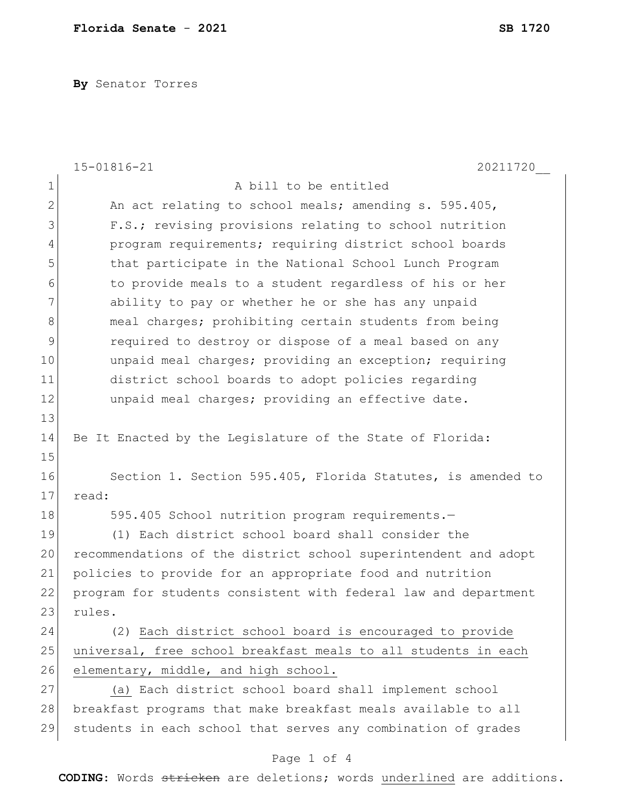**By** Senator Torres

|               | $15 - 01816 - 21$<br>20211720                                   |
|---------------|-----------------------------------------------------------------|
| 1             | A bill to be entitled                                           |
| $\mathbf{2}$  | An act relating to school meals; amending s. 595.405,           |
| 3             | F.S.; revising provisions relating to school nutrition          |
| 4             | program requirements; requiring district school boards          |
| 5             | that participate in the National School Lunch Program           |
| 6             | to provide meals to a student regardless of his or her          |
| 7             | ability to pay or whether he or she has any unpaid              |
| 8             | meal charges; prohibiting certain students from being           |
| $\mathcal{G}$ | required to destroy or dispose of a meal based on any           |
| 10            | unpaid meal charges; providing an exception; requiring          |
| 11            | district school boards to adopt policies regarding              |
| 12            | unpaid meal charges; providing an effective date.               |
| 13            |                                                                 |
| 14            | Be It Enacted by the Legislature of the State of Florida:       |
| 15            |                                                                 |
| 16            | Section 1. Section 595.405, Florida Statutes, is amended to     |
| 17            | read:                                                           |
| 18            | 595.405 School nutrition program requirements.-                 |
| 19            | (1) Each district school board shall consider the               |
| 20            | recommendations of the district school superintendent and adopt |
| 21            | policies to provide for an appropriate food and nutrition       |
| 22            | program for students consistent with federal law and department |
| 23            | rules.                                                          |
| 24            | (2) Each district school board is encouraged to provide         |
| 25            | universal, free school breakfast meals to all students in each  |
| 26            | elementary, middle, and high school.                            |
| 27            | (a) Each district school board shall implement school           |
| 28            | breakfast programs that make breakfast meals available to all   |
| 29            | students in each school that serves any combination of grades   |
|               | Page 1 of 4                                                     |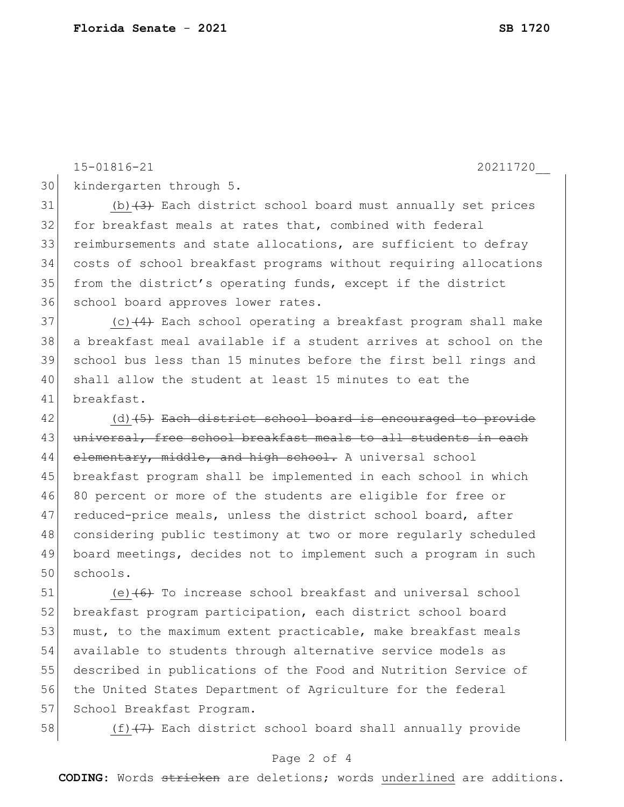kindergarten through 5.

 (b)(3) Each district school board must annually set prices for breakfast meals at rates that, combined with federal reimbursements and state allocations, are sufficient to defray costs of school breakfast programs without requiring allocations from the district's operating funds, except if the district school board approves lower rates. (c)(4) Each school operating a breakfast program shall make a breakfast meal available if a student arrives at school on the school bus less than 15 minutes before the first bell rings and shall allow the student at least 15 minutes to eat the breakfast.

15-01816-21 20211720\_\_

42 (d)(5) Each district school board is encouraged to provide 43 universal, free school breakfast meals to all students in each 44 elementary, middle, and high school. A universal school 45 breakfast program shall be implemented in each school in which 80 percent or more of the students are eligible for free or 47 reduced-price meals, unless the district school board, after considering public testimony at two or more regularly scheduled board meetings, decides not to implement such a program in such schools.

 (e) $(6)$  To increase school breakfast and universal school 52 breakfast program participation, each district school board 53 must, to the maximum extent practicable, make breakfast meals available to students through alternative service models as described in publications of the Food and Nutrition Service of the United States Department of Agriculture for the federal 57 School Breakfast Program.

58 (f)<del>(7)</del> Each district school board shall annually provide

## Page 2 of 4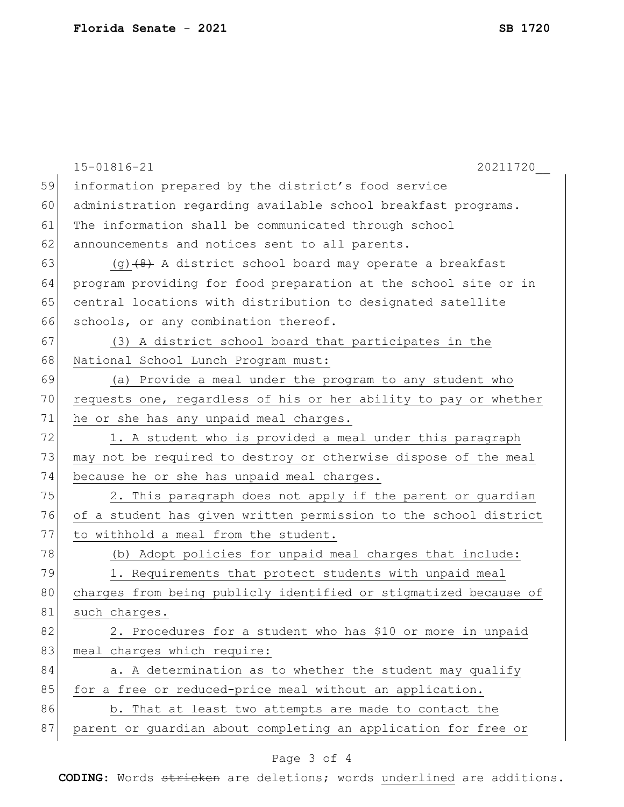|    | $15 - 01816 - 21$<br>20211720                                    |
|----|------------------------------------------------------------------|
| 59 | information prepared by the district's food service              |
| 60 | administration regarding available school breakfast programs.    |
| 61 | The information shall be communicated through school             |
| 62 | announcements and notices sent to all parents.                   |
| 63 | $(q)$ (4) A district school board may operate a breakfast        |
| 64 | program providing for food preparation at the school site or in  |
| 65 | central locations with distribution to designated satellite      |
| 66 | schools, or any combination thereof.                             |
| 67 | (3) A district school board that participates in the             |
| 68 | National School Lunch Program must:                              |
| 69 | (a) Provide a meal under the program to any student who          |
| 70 | requests one, regardless of his or her ability to pay or whether |
| 71 | he or she has any unpaid meal charges.                           |
| 72 | 1. A student who is provided a meal under this paragraph         |
| 73 | may not be required to destroy or otherwise dispose of the meal  |
| 74 | because he or she has unpaid meal charges.                       |
| 75 | 2. This paragraph does not apply if the parent or guardian       |
| 76 | of a student has given written permission to the school district |
| 77 | to withhold a meal from the student.                             |
| 78 | (b) Adopt policies for unpaid meal charges that include:         |
| 79 | 1. Requirements that protect students with unpaid meal           |
| 80 | charges from being publicly identified or stigmatized because of |
| 81 | such charges.                                                    |
| 82 | 2. Procedures for a student who has \$10 or more in unpaid       |
| 83 | meal charges which require:                                      |
| 84 | a. A determination as to whether the student may qualify         |
| 85 | for a free or reduced-price meal without an application.         |
| 86 | b. That at least two attempts are made to contact the            |
| 87 | parent or guardian about completing an application for free or   |
|    |                                                                  |

## Page 3 of 4